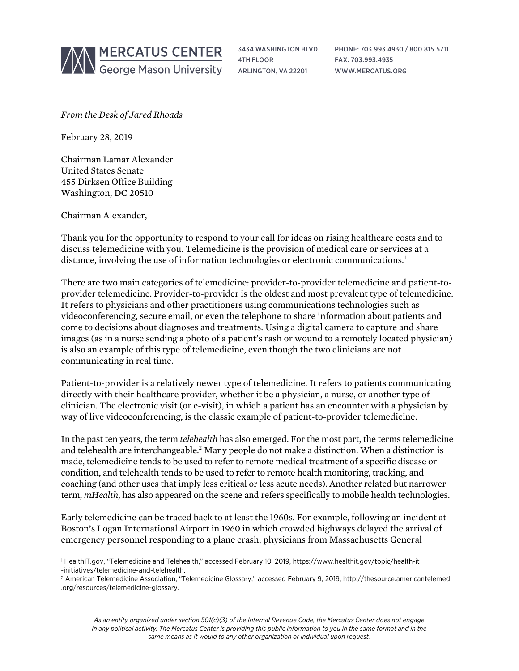

3434 WASHINGTON BLVD. 4TH FLOOR ARLINGTON, VA 22201

PHONE: 703.993.4930 / 800.815.5711 FAX: 703.993.4935 WWW.MERCATUS.ORG

*From the Desk of Jared Rhoads*

February 28, 2019

Chairman Lamar Alexander United States Senate 455 Dirksen Office Building Washington, DC 20510

Chairman Alexander,

l

Thank you for the opportunity to respond to your call for ideas on rising healthcare costs and to discuss telemedicine with you. Telemedicine is the provision of medical care or services at a distance, involving the use of information technologies or electronic communications.<sup>1</sup>

There are two main categories of telemedicine: provider-to-provider telemedicine and patient-toprovider telemedicine. Provider-to-provider is the oldest and most prevalent type of telemedicine. It refers to physicians and other practitioners using communications technologies such as videoconferencing, secure email, or even the telephone to share information about patients and come to decisions about diagnoses and treatments. Using a digital camera to capture and share images (as in a nurse sending a photo of a patient's rash or wound to a remotely located physician) is also an example of this type of telemedicine, even though the two clinicians are not communicating in real time.

Patient-to-provider is a relatively newer type of telemedicine. It refers to patients communicating directly with their healthcare provider, whether it be a physician, a nurse, or another type of clinician. The electronic visit (or e-visit), in which a patient has an encounter with a physician by way of live videoconferencing, is the classic example of patient-to-provider telemedicine.

In the past ten years, the term *telehealth* has also emerged. For the most part, the terms telemedicine and telehealth are interchangeable.2 Many people do not make a distinction. When a distinction is made, telemedicine tends to be used to refer to remote medical treatment of a specific disease or condition, and telehealth tends to be used to refer to remote health monitoring, tracking, and coaching (and other uses that imply less critical or less acute needs). Another related but narrower term, *mHealth*, has also appeared on the scene and refers specifically to mobile health technologies.

Early telemedicine can be traced back to at least the 1960s. For example, following an incident at Boston's Logan International Airport in 1960 in which crowded highways delayed the arrival of emergency personnel responding to a plane crash, physicians from Massachusetts General

<sup>1</sup> HealthIT.gov, "Telemedicine and Telehealth," accessed February 10, 2019, [https://www.healthit.gov/topic/health-it](https://www.healthit.gov/topic/health-it-initiatives/telemedicine-and-telehealth) [-initiatives/telemedicine-and-telehealth.](https://www.healthit.gov/topic/health-it-initiatives/telemedicine-and-telehealth)

<sup>2</sup> American Telemedicine Association, "Telemedicine Glossary," accessed February 9, 2019, [http://thesource.americantelemed](http://thesource.americantelemed.org/resources/telemedicine-glossary) [.org/resources/telemedicine-glossary.](http://thesource.americantelemed.org/resources/telemedicine-glossary)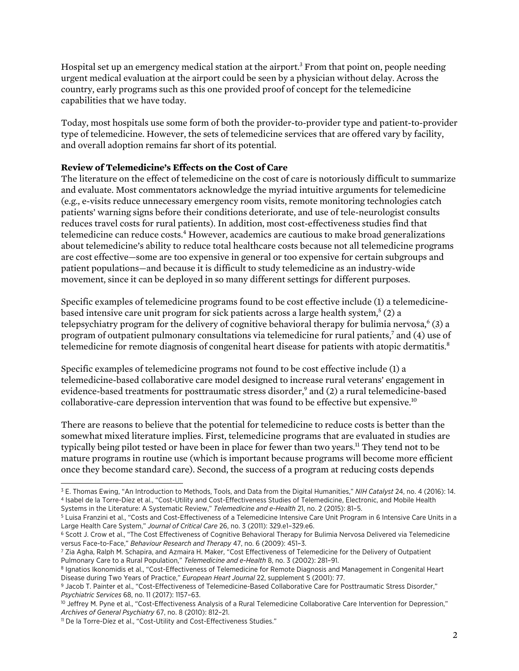Hospital set up an emergency medical station at the airport.<sup>3</sup> From that point on, people needing urgent medical evaluation at the airport could be seen by a physician without delay. Across the country, early programs such as this one provided proof of concept for the telemedicine capabilities that we have today.

Today, most hospitals use some form of both the provider-to-provider type and patient-to-provider type of telemedicine. However, the sets of telemedicine services that are offered vary by facility, and overall adoption remains far short of its potential.

## **Review of Telemedicine's Effects on the Cost of Care**

The literature on the effect of telemedicine on the cost of care is notoriously difficult to summarize and evaluate. Most commentators acknowledge the myriad intuitive arguments for telemedicine (e.g., e-visits reduce unnecessary emergency room visits, remote monitoring technologies catch patients' warning signs before their conditions deteriorate, and use of tele-neurologist consults reduces travel costs for rural patients). In addition, most cost-effectiveness studies find that telemedicine can reduce costs.4 However, academics are cautious to make broad generalizations about telemedicine's ability to reduce total healthcare costs because not all telemedicine programs are cost effective—some are too expensive in general or too expensive for certain subgroups and patient populations—and because it is difficult to study telemedicine as an industry-wide movement, since it can be deployed in so many different settings for different purposes.

Specific examples of telemedicine programs found to be cost effective include (1) a telemedicinebased intensive care unit program for sick patients across a large health system,<sup>5</sup> (2) a telepsychiatry program for the delivery of cognitive behavioral therapy for bulimia nervosa,  $6(3)$  a program of outpatient pulmonary consultations via telemedicine for rural patients,7 and (4) use of telemedicine for remote diagnosis of congenital heart disease for patients with atopic dermatitis.<sup>8</sup>

Specific examples of telemedicine programs not found to be cost effective include (1) a telemedicine-based collaborative care model designed to increase rural veterans' engagement in evidence-based treatments for posttraumatic stress disorder,<sup>9</sup> and (2) a rural telemedicine-based collaborative-care depression intervention that was found to be effective but expensive.10

There are reasons to believe that the potential for telemedicine to reduce costs is better than the somewhat mixed literature implies. First, telemedicine programs that are evaluated in studies are typically being pilot tested or have been in place for fewer than two years.<sup>11</sup> They tend not to be mature programs in routine use (which is important because programs will become more efficient once they become standard care). Second, the success of a program at reducing costs depends

<sup>3</sup> E. Thomas Ewing, "An Introduction to Methods, Tools, and Data from the Digital Humanities," *NIH Catalyst* 24, no. 4 (2016): 14. <sup>4</sup> Isabel de la Torre-Díez et al., "Cost-Utility and Cost-Effectiveness Studies of Telemedicine, Electronic, and Mobile Health Systems in the Literature: A Systematic Review," *Telemedicine and e-Health* 21, no. 2 (2015): 81–5.

<sup>5</sup> Luisa Franzini et al., "Costs and Cost-Effectiveness of a Telemedicine Intensive Care Unit Program in 6 Intensive Care Units in a Large Health Care System," *Journal of Critical Care* 26, no. 3 (2011): 329.e1–329.e6.

<sup>6</sup> Scott J. Crow et al., "The Cost Effectiveness of Cognitive Behavioral Therapy for Bulimia Nervosa Delivered via Telemedicine versus Face-to-Face," *Behaviour Research and Therapy* 47, no. 6 (2009): 451–3.

<sup>7</sup> Zia Agha, Ralph M. Schapira, and Azmaira H. Maker, "Cost Effectiveness of Telemedicine for the Delivery of Outpatient Pulmonary Care to a Rural Population," *Telemedicine and e-Health* 8, no. 3 (2002): 281–91.

<sup>8</sup> Ignatios Ikonomidis et al., "Cost-Effectiveness of Telemedicine for Remote Diagnosis and Management in Congenital Heart Disease during Two Years of Practice," *European Heart Journal* 22, supplement S (2001): 77.

<sup>9</sup> Jacob T. Painter et al., "Cost-Effectiveness of Telemedicine-Based Collaborative Care for Posttraumatic Stress Disorder," *Psychiatric Services* 68, no. 11 (2017): 1157–63.

<sup>&</sup>lt;sup>10</sup> Jeffrey M. Pyne et al., "Cost-Effectiveness Analysis of a Rural Telemedicine Collaborative Care Intervention for Depression," *Archives of General Psychiatry* 67, no. 8 (2010): 812–21.

<sup>11</sup> De la Torre-Díez et al., "Cost-Utility and Cost-Effectiveness Studies."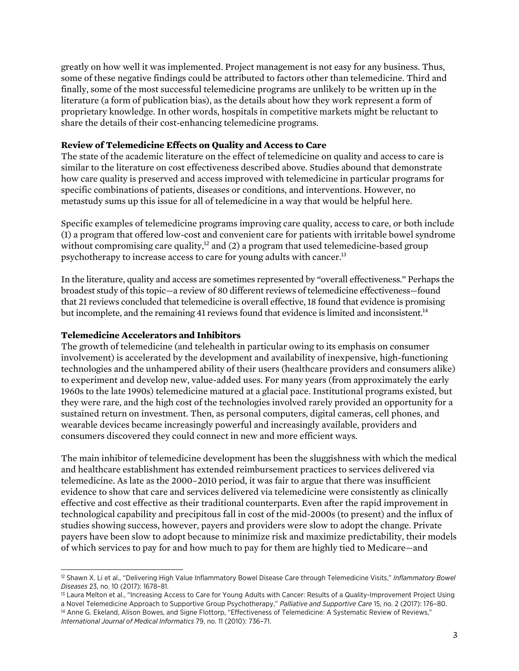greatly on how well it was implemented. Project management is not easy for any business. Thus, some of these negative findings could be attributed to factors other than telemedicine. Third and finally, some of the most successful telemedicine programs are unlikely to be written up in the literature (a form of publication bias), as the details about how they work represent a form of proprietary knowledge. In other words, hospitals in competitive markets might be reluctant to share the details of their cost-enhancing telemedicine programs.

## **Review of Telemedicine Effects on Quality and Access to Care**

The state of the academic literature on the effect of telemedicine on quality and access to care is similar to the literature on cost effectiveness described above. Studies abound that demonstrate how care quality is preserved and access improved with telemedicine in particular programs for specific combinations of patients, diseases or conditions, and interventions. However, no metastudy sums up this issue for all of telemedicine in a way that would be helpful here.

Specific examples of telemedicine programs improving care quality, access to care, or both include (1) a program that offered low-cost and convenient care for patients with irritable bowel syndrome without compromising care quality,<sup>12</sup> and (2) a program that used telemedicine-based group psychotherapy to increase access to care for young adults with cancer.13

In the literature, quality and access are sometimes represented by "overall effectiveness." Perhaps the broadest study of this topic—a review of 80 different reviews of telemedicine effectiveness—found that 21 reviews concluded that telemedicine is overall effective, 18 found that evidence is promising but incomplete, and the remaining 41 reviews found that evidence is limited and inconsistent.<sup>14</sup>

## **Telemedicine Accelerators and Inhibitors**

The growth of telemedicine (and telehealth in particular owing to its emphasis on consumer involvement) is accelerated by the development and availability of inexpensive, high-functioning technologies and the unhampered ability of their users (healthcare providers and consumers alike) to experiment and develop new, value-added uses. For many years (from approximately the early 1960s to the late 1990s) telemedicine matured at a glacial pace. Institutional programs existed, but they were rare, and the high cost of the technologies involved rarely provided an opportunity for a sustained return on investment. Then, as personal computers, digital cameras, cell phones, and wearable devices became increasingly powerful and increasingly available, providers and consumers discovered they could connect in new and more efficient ways.

The main inhibitor of telemedicine development has been the sluggishness with which the medical and healthcare establishment has extended reimbursement practices to services delivered via telemedicine. As late as the 2000–2010 period, it was fair to argue that there was insufficient evidence to show that care and services delivered via telemedicine were consistently as clinically effective and cost effective as their traditional counterparts. Even after the rapid improvement in technological capability and precipitous fall in cost of the mid-2000s (to present) and the influx of studies showing success, however, payers and providers were slow to adopt the change. Private payers have been slow to adopt because to minimize risk and maximize predictability, their models of which services to pay for and how much to pay for them are highly tied to Medicare—and

l <sup>12</sup> Shawn X. Li et al., "Delivering High Value Inflammatory Bowel Disease Care through Telemedicine Visits," *Inflammatory Bowel Diseases* 23, no. 10 (2017): 1678–81.

<sup>&</sup>lt;sup>13</sup> Laura Melton et al., "Increasing Access to Care for Young Adults with Cancer: Results of a Quality-Improvement Project Using a Novel Telemedicine Approach to Supportive Group Psychotherapy," *Palliative and Supportive Care* 15, no. 2 (2017): 176–80.

<sup>&</sup>lt;sup>14</sup> Anne G. Ekeland, Alison Bowes, and Signe Flottorp, "Effectiveness of Telemedicine: A Systematic Review of Reviews," *International Journal of Medical Informatics* 79, no. 11 (2010): 736–71.